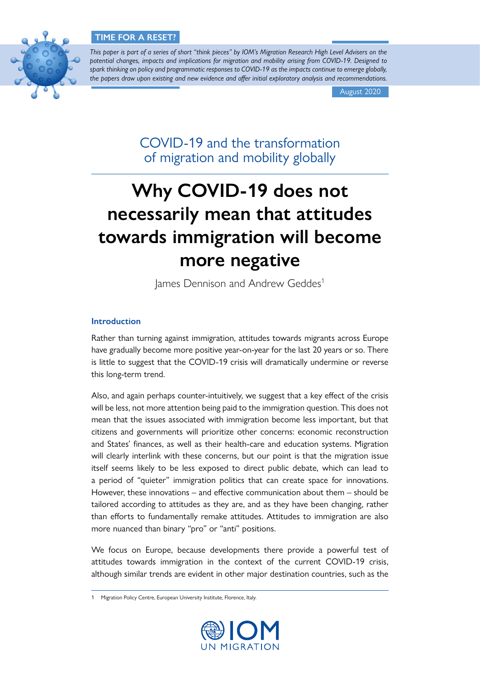

*This paper is part of a series of short "think pieces" by IOM's Migration Research High Level Advisers on the potential changes, impacts and implications for migration and mobility arising from COVID-19. Designed to spark thinking on policy and programmatic responses to COVID-19 as the impacts continue to emerge globally, the papers draw upon existing and new evidence and offer initial exploratory analysis and recommendations.*

August 2020

COVID-19 and the transformation of migration and mobility globally

# **Why COVID-19 does not necessarily mean that attitudes towards immigration will become more negative**

James Dennison and Andrew Geddes<sup>1</sup>

## **Introduction**

Rather than turning against immigration, attitudes towards migrants across Europe have gradually become more positive year-on-year for the last 20 years or so. There is little to suggest that the COVID-19 crisis will dramatically undermine or reverse this long-term trend.

Also, and again perhaps counter-intuitively, we suggest that a key effect of the crisis will be less, not more attention being paid to the immigration question. This does not mean that the issues associated with immigration become less important, but that citizens and governments will prioritize other concerns: economic reconstruction and States' finances, as well as their health-care and education systems. Migration will clearly interlink with these concerns, but our point is that the migration issue itself seems likely to be less exposed to direct public debate, which can lead to a period of "quieter" immigration politics that can create space for innovations. However, these innovations – and effective communication about them – should be tailored according to attitudes as they are, and as they have been changing, rather than efforts to fundamentally remake attitudes. Attitudes to immigration are also more nuanced than binary "pro" or "anti" positions.

We focus on Europe, because developments there provide a powerful test of attitudes towards immigration in the context of the current COVID-19 crisis, although similar trends are evident in other major destination countries, such as the

<sup>1</sup> Migration Policy Centre, European University Institute, Florence, Italy.

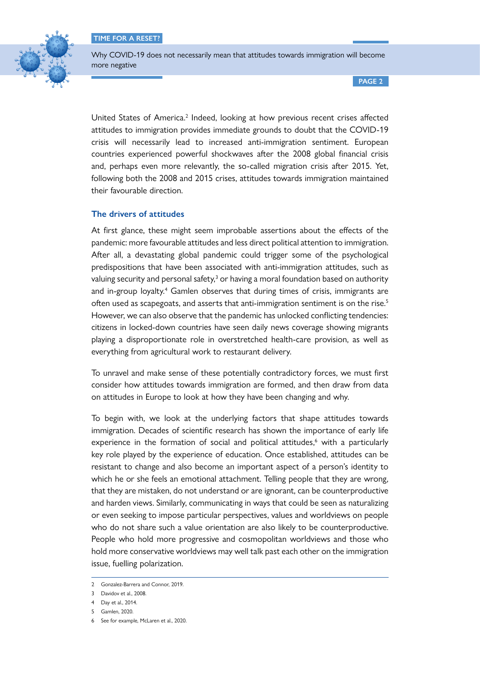

Why COVID-19 does not necessarily mean that attitudes towards immigration will become more negative

**PAGE 2**

United States of America.<sup>2</sup> Indeed, looking at how previous recent crises affected attitudes to immigration provides immediate grounds to doubt that the COVID-19 crisis will necessarily lead to increased anti-immigration sentiment. European countries experienced powerful shockwaves after the 2008 global financial crisis and, perhaps even more relevantly, the so-called migration crisis after 2015. Yet, following both the 2008 and 2015 crises, attitudes towards immigration maintained their favourable direction.

### **The drivers of attitudes**

At first glance, these might seem improbable assertions about the effects of the pandemic: more favourable attitudes and less direct political attention to immigration. After all, a devastating global pandemic could trigger some of the psychological predispositions that have been associated with anti-immigration attitudes, such as valuing security and personal safety,<sup>3</sup> or having a moral foundation based on authority and in-group loyalty.<sup>4</sup> Gamlen observes that during times of crisis, immigrants are often used as scapegoats, and asserts that anti-immigration sentiment is on the rise.<sup>5</sup> However, we can also observe that the pandemic has unlocked conflicting tendencies: citizens in locked-down countries have seen daily news coverage showing migrants playing a disproportionate role in overstretched health-care provision, as well as everything from agricultural work to restaurant delivery.

To unravel and make sense of these potentially contradictory forces, we must first consider how attitudes towards immigration are formed, and then draw from data on attitudes in Europe to look at how they have been changing and why.

To begin with, we look at the underlying factors that shape attitudes towards immigration. Decades of scientific research has shown the importance of early life experience in the formation of social and political attitudes,<sup>6</sup> with a particularly key role played by the experience of education. Once established, attitudes can be resistant to change and also become an important aspect of a person's identity to which he or she feels an emotional attachment. Telling people that they are wrong, that they are mistaken, do not understand or are ignorant, can be counterproductive and harden views. Similarly, communicating in ways that could be seen as naturalizing or even seeking to impose particular perspectives, values and worldviews on people who do not share such a value orientation are also likely to be counterproductive. People who hold more progressive and cosmopolitan worldviews and those who hold more conservative worldviews may well talk past each other on the immigration issue, fuelling polarization.

<sup>2</sup> Gonzalez-Barrera and Connor, 2019.

<sup>3</sup> Davidov et al., 2008.

<sup>4</sup> Day et al., 2014.

<sup>5</sup> Gamlen, 2020.

<sup>6</sup> See for example, McLaren et al., 2020.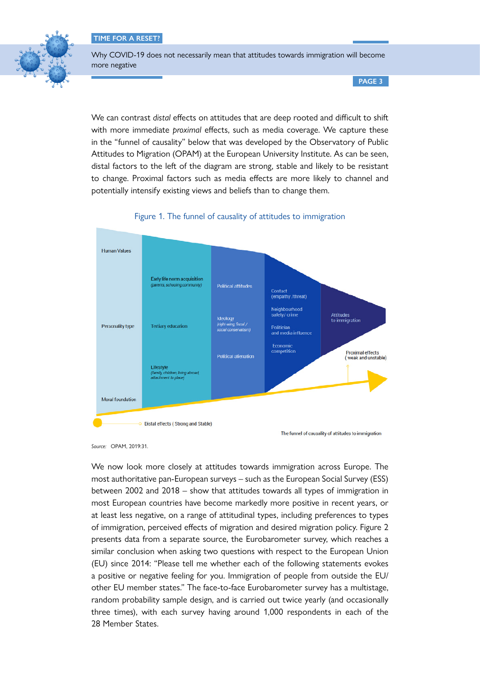

Why COVID-19 does not necessarily mean that attitudes towards immigration will become more negative

**PAGE 3**

We can contrast *distal* effects on attitudes that are deep rooted and difficult to shift with more immediate *proximal* effects, such as media coverage. We capture these in the "funnel of causality" below that was developed by the Observatory of Public Attitudes to Migration (OPAM) at the European University Institute. As can be seen, distal factors to the left of the diagram are strong, stable and likely to be resistant to change. Proximal factors such as media effects are more likely to channel and potentially intensify existing views and beliefs than to change them.





*Source:* OPAM, 2019:31.

We now look more closely at attitudes towards immigration across Europe. The most authoritative pan-European surveys – such as the European Social Survey (ESS) between 2002 and 2018 – show that attitudes towards all types of immigration in most European countries have become markedly more positive in recent years, or at least less negative, on a range of attitudinal types, including preferences to types of immigration, perceived effects of migration and desired migration policy. Figure 2 presents data from a separate source, the Eurobarometer survey, which reaches a similar conclusion when asking two questions with respect to the European Union (EU) since 2014: "Please tell me whether each of the following statements evokes a positive or negative feeling for you. Immigration of people from outside the EU/ other EU member states." The face-to-face Eurobarometer survey has a multistage, random probability sample design, and is carried out twice yearly (and occasionally three times), with each survey having around 1,000 respondents in each of the 28 Member States.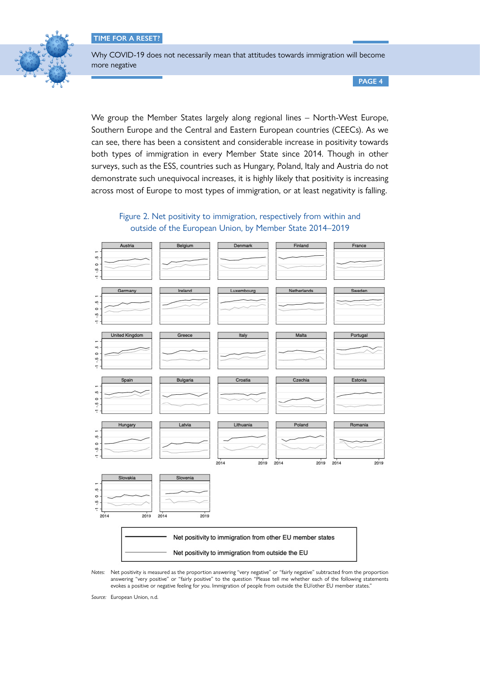

Why COVID-19 does not necessarily mean that attitudes towards immigration will become more negative

**PAGE 4**

We group the Member States largely along regional lines – North-West Europe, Southern Europe and the Central and Eastern European countries (CEECs). As we can see, there has been a consistent and considerable increase in positivity towards both types of immigration in every Member State since 2014. Though in other surveys, such as the ESS, countries such as Hungary, Poland, Italy and Austria do not demonstrate such unequivocal increases, it is highly likely that positivity is increasing across most of Europe to most types of immigration, or at least negativity is falling.





*Notes:* Net positivity is measured as the proportion answering "very negative" or "fairly negative" subtracted from the proportion answering "very positive" or "fairly positive" to the question "Please tell me whether each of the following statements evokes a positive or negative feeling for you. Immigration of people from outside the EU/other EU member states."

*Source:* European Union, n.d.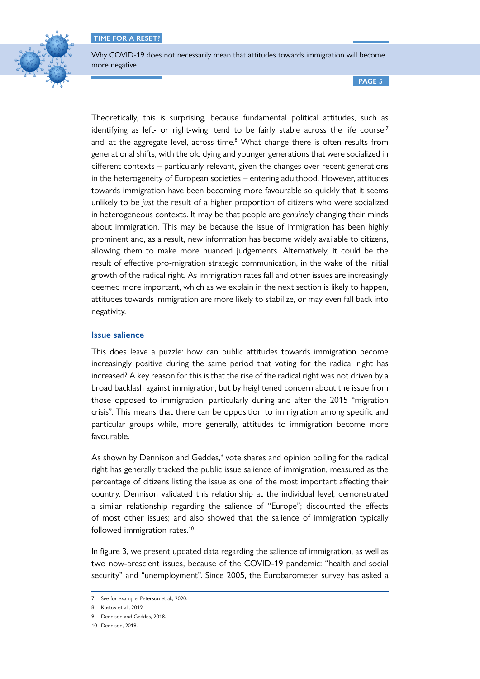

Why COVID-19 does not necessarily mean that attitudes towards immigration will become more negative

**PAGE 5**

Theoretically, this is surprising, because fundamental political attitudes, such as identifying as left- or right-wing, tend to be fairly stable across the life course,<sup>7</sup> and, at the aggregate level, across time.<sup>8</sup> What change there is often results from generational shifts, with the old dying and younger generations that were socialized in different contexts – particularly relevant, given the changes over recent generations in the heterogeneity of European societies – entering adulthood. However, attitudes towards immigration have been becoming more favourable so quickly that it seems unlikely to be *just* the result of a higher proportion of citizens who were socialized in heterogeneous contexts. It may be that people are *genuinely* changing their minds about immigration. This may be because the issue of immigration has been highly prominent and, as a result, new information has become widely available to citizens, allowing them to make more nuanced judgements. Alternatively, it could be the result of effective pro-migration strategic communication, in the wake of the initial growth of the radical right. As immigration rates fall and other issues are increasingly deemed more important, which as we explain in the next section is likely to happen, attitudes towards immigration are more likely to stabilize, or may even fall back into negativity.

#### **Issue salience**

This does leave a puzzle: how can public attitudes towards immigration become increasingly positive during the same period that voting for the radical right has increased? A key reason for this is that the rise of the radical right was not driven by a broad backlash against immigration, but by heightened concern about the issue from those opposed to immigration, particularly during and after the 2015 "migration crisis". This means that there can be opposition to immigration among specific and particular groups while, more generally, attitudes to immigration become more favourable.

As shown by Dennison and Geddes,<sup>9</sup> vote shares and opinion polling for the radical right has generally tracked the public issue salience of immigration, measured as the percentage of citizens listing the issue as one of the most important affecting their country. Dennison validated this relationship at the individual level; demonstrated a similar relationship regarding the salience of "Europe"; discounted the effects of most other issues; and also showed that the salience of immigration typically followed immigration rates.10

In figure 3, we present updated data regarding the salience of immigration, as well as two now-prescient issues, because of the COVID-19 pandemic: "health and social security" and "unemployment". Since 2005, the Eurobarometer survey has asked a

<sup>7</sup> See for example, Peterson et al., 2020.

<sup>8</sup> Kustov et al. 2019.

<sup>9</sup> Dennison and Geddes, 2018.

<sup>10</sup> Dennison, 2019.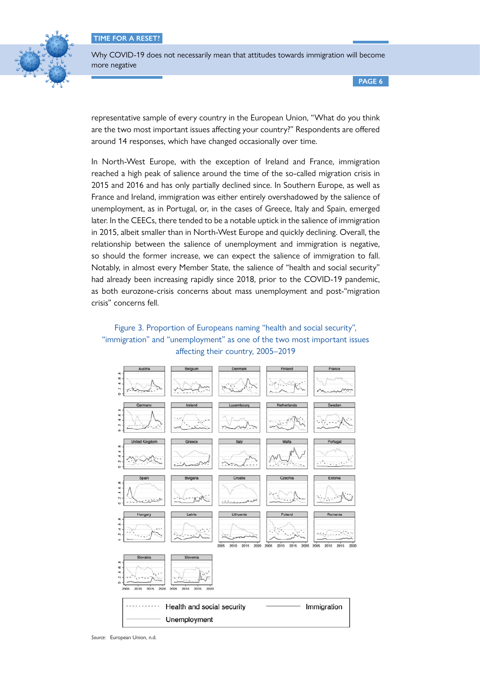

Why COVID-19 does not necessarily mean that attitudes towards immigration will become more negative

**PAGE 6**

representative sample of every country in the European Union, "What do you think are the two most important issues affecting your country?" Respondents are offered around 14 responses, which have changed occasionally over time.

In North-West Europe, with the exception of Ireland and France, immigration reached a high peak of salience around the time of the so-called migration crisis in 2015 and 2016 and has only partially declined since. In Southern Europe, as well as France and Ireland, immigration was either entirely overshadowed by the salience of unemployment, as in Portugal, or, in the cases of Greece, Italy and Spain, emerged later. In the CEECs, there tended to be a notable uptick in the salience of immigration in 2015, albeit smaller than in North-West Europe and quickly declining. Overall, the relationship between the salience of unemployment and immigration is negative, so should the former increase, we can expect the salience of immigration to fall. Notably, in almost every Member State, the salience of "health and social security" had already been increasing rapidly since 2018, prior to the COVID-19 pandemic, as both eurozone-crisis concerns about mass unemployment and post-"migration crisis" concerns fell.

## Figure 3. Proportion of Europeans naming "health and social security", "immigration" and "unemployment" as one of the two most important issues affecting their country, 2005–2019



*Source:* European Union, n.d.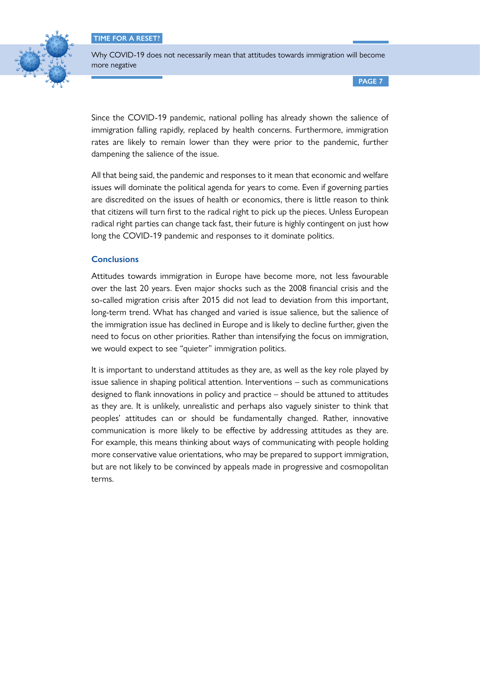

Why COVID-19 does not necessarily mean that attitudes towards immigration will become more negative

**PAGE 7**

Since the COVID-19 pandemic, national polling has already shown the salience of immigration falling rapidly, replaced by health concerns. Furthermore, immigration rates are likely to remain lower than they were prior to the pandemic, further dampening the salience of the issue.

All that being said, the pandemic and responses to it mean that economic and welfare issues will dominate the political agenda for years to come. Even if governing parties are discredited on the issues of health or economics, there is little reason to think that citizens will turn first to the radical right to pick up the pieces. Unless European radical right parties can change tack fast, their future is highly contingent on just how long the COVID-19 pandemic and responses to it dominate politics.

### **Conclusions**

Attitudes towards immigration in Europe have become more, not less favourable over the last 20 years. Even major shocks such as the 2008 financial crisis and the so-called migration crisis after 2015 did not lead to deviation from this important, long-term trend. What has changed and varied is issue salience, but the salience of the immigration issue has declined in Europe and is likely to decline further, given the need to focus on other priorities. Rather than intensifying the focus on immigration, we would expect to see "quieter" immigration politics.

It is important to understand attitudes as they are, as well as the key role played by issue salience in shaping political attention. Interventions – such as communications designed to flank innovations in policy and practice – should be attuned to attitudes as they are. It is unlikely, unrealistic and perhaps also vaguely sinister to think that peoples' attitudes can or should be fundamentally changed. Rather, innovative communication is more likely to be effective by addressing attitudes as they are. For example, this means thinking about ways of communicating with people holding more conservative value orientations, who may be prepared to support immigration, but are not likely to be convinced by appeals made in progressive and cosmopolitan terms.